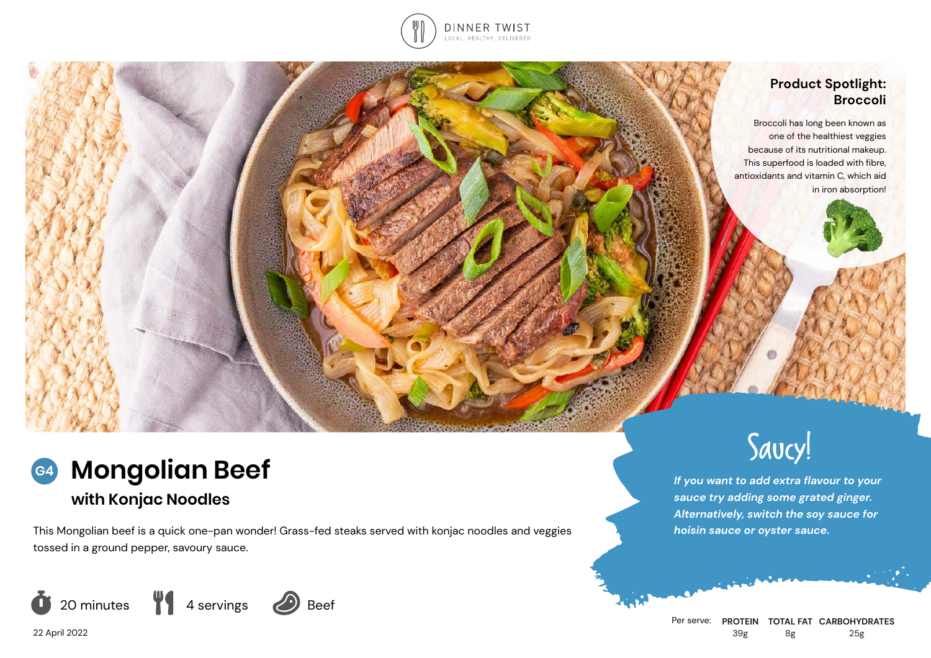

# **Product Spotlight: Broccoli**

Broccoli has long been known as one of the healthiest veggies because of its nutritional makeup. This superfood is loaded with fibre, antioxidants and vitamin C, which aid in iron absorption!



# **with Konjac Noodles**

This Mongolian beef is a quick one-pan wonder! Grass-fed steaks served with konjac noodles and veggies tossed in a ground pepper, savoury sauce.





*If you want to add extra flavour to your sauce try adding some grated ginger. Alternatively, switch the soy sauce for hoisin sauce or oyster sauce.*